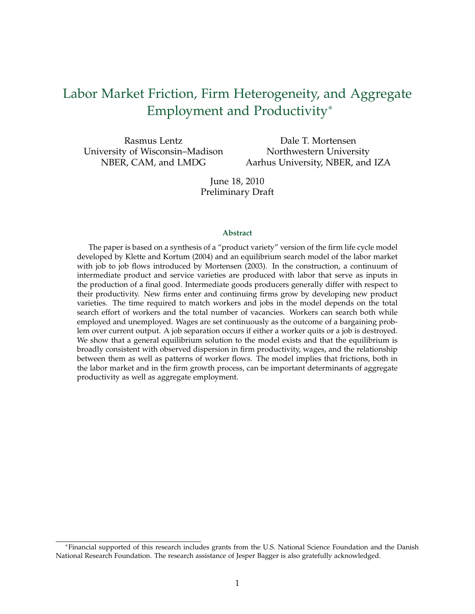# Labor Market Friction, Firm Heterogeneity, and Aggregate Employment and Productivity<sup>∗</sup>

Rasmus Lentz University of Wisconsin–Madison NBER, CAM, and LMDG

Dale T. Mortensen Northwestern University Aarhus University, NBER, and IZA

June 18, 2010 Preliminary Draft

#### **Abstract**

The paper is based on a synthesis of a "product variety" version of the firm life cycle model developed by Klette and Kortum (2004) and an equilibrium search model of the labor market with job to job flows introduced by Mortensen (2003). In the construction, a continuum of intermediate product and service varieties are produced with labor that serve as inputs in the production of a final good. Intermediate goods producers generally differ with respect to their productivity. New firms enter and continuing firms grow by developing new product varieties. The time required to match workers and jobs in the model depends on the total search effort of workers and the total number of vacancies. Workers can search both while employed and unemployed. Wages are set continuously as the outcome of a bargaining problem over current output. A job separation occurs if either a worker quits or a job is destroyed. We show that a general equilibrium solution to the model exists and that the equilibrium is broadly consistent with observed dispersion in firm productivity, wages, and the relationship between them as well as patterns of worker flows. The model implies that frictions, both in the labor market and in the firm growth process, can be important determinants of aggregate productivity as well as aggregate employment.

<sup>∗</sup>Financial supported of this research includes grants from the U.S. National Science Foundation and the Danish National Research Foundation. The research assistance of Jesper Bagger is also gratefully acknowledged.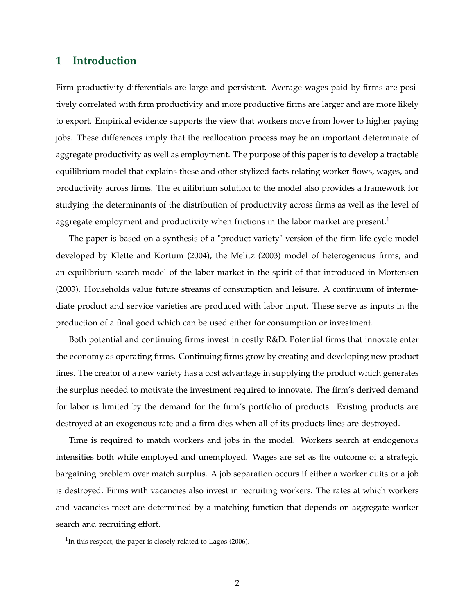### **1 Introduction**

Firm productivity differentials are large and persistent. Average wages paid by firms are positively correlated with firm productivity and more productive firms are larger and are more likely to export. Empirical evidence supports the view that workers move from lower to higher paying jobs. These differences imply that the reallocation process may be an important determinate of aggregate productivity as well as employment. The purpose of this paper is to develop a tractable equilibrium model that explains these and other stylized facts relating worker flows, wages, and productivity across firms. The equilibrium solution to the model also provides a framework for studying the determinants of the distribution of productivity across firms as well as the level of aggregate employment and productivity when frictions in the labor market are present.<sup>1</sup>

The paper is based on a synthesis of a "product variety" version of the firm life cycle model developed by Klette and Kortum (2004), the Melitz (2003) model of heterogenious firms, and an equilibrium search model of the labor market in the spirit of that introduced in Mortensen (2003). Households value future streams of consumption and leisure. A continuum of intermediate product and service varieties are produced with labor input. These serve as inputs in the production of a final good which can be used either for consumption or investment.

Both potential and continuing firms invest in costly R&D. Potential firms that innovate enter the economy as operating firms. Continuing firms grow by creating and developing new product lines. The creator of a new variety has a cost advantage in supplying the product which generates the surplus needed to motivate the investment required to innovate. The firm's derived demand for labor is limited by the demand for the firm's portfolio of products. Existing products are destroyed at an exogenous rate and a firm dies when all of its products lines are destroyed.

Time is required to match workers and jobs in the model. Workers search at endogenous intensities both while employed and unemployed. Wages are set as the outcome of a strategic bargaining problem over match surplus. A job separation occurs if either a worker quits or a job is destroyed. Firms with vacancies also invest in recruiting workers. The rates at which workers and vacancies meet are determined by a matching function that depends on aggregate worker search and recruiting effort.

 $1$ In this respect, the paper is closely related to Lagos (2006).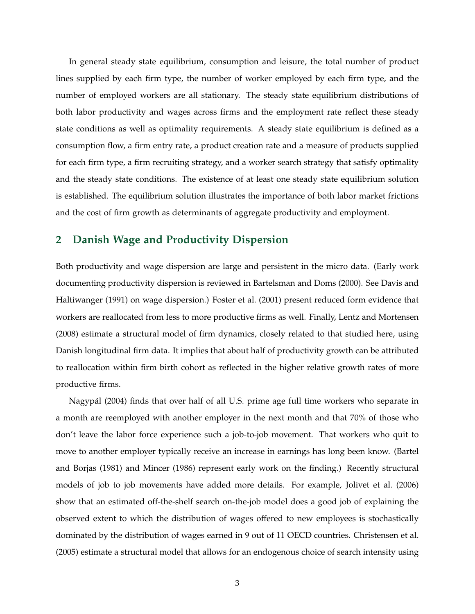In general steady state equilibrium, consumption and leisure, the total number of product lines supplied by each firm type, the number of worker employed by each firm type, and the number of employed workers are all stationary. The steady state equilibrium distributions of both labor productivity and wages across firms and the employment rate reflect these steady state conditions as well as optimality requirements. A steady state equilibrium is defined as a consumption flow, a firm entry rate, a product creation rate and a measure of products supplied for each firm type, a firm recruiting strategy, and a worker search strategy that satisfy optimality and the steady state conditions. The existence of at least one steady state equilibrium solution is established. The equilibrium solution illustrates the importance of both labor market frictions and the cost of firm growth as determinants of aggregate productivity and employment.

### **2 Danish Wage and Productivity Dispersion**

Both productivity and wage dispersion are large and persistent in the micro data. (Early work documenting productivity dispersion is reviewed in Bartelsman and Doms (2000). See Davis and Haltiwanger (1991) on wage dispersion.) Foster et al. (2001) present reduced form evidence that workers are reallocated from less to more productive firms as well. Finally, Lentz and Mortensen (2008) estimate a structural model of firm dynamics, closely related to that studied here, using Danish longitudinal firm data. It implies that about half of productivity growth can be attributed to reallocation within firm birth cohort as reflected in the higher relative growth rates of more productive firms.

Nagypál (2004) finds that over half of all U.S. prime age full time workers who separate in a month are reemployed with another employer in the next month and that 70% of those who don't leave the labor force experience such a job-to-job movement. That workers who quit to move to another employer typically receive an increase in earnings has long been know. (Bartel and Borjas (1981) and Mincer (1986) represent early work on the finding.) Recently structural models of job to job movements have added more details. For example, Jolivet et al. (2006) show that an estimated off-the-shelf search on-the-job model does a good job of explaining the observed extent to which the distribution of wages offered to new employees is stochastically dominated by the distribution of wages earned in 9 out of 11 OECD countries. Christensen et al. (2005) estimate a structural model that allows for an endogenous choice of search intensity using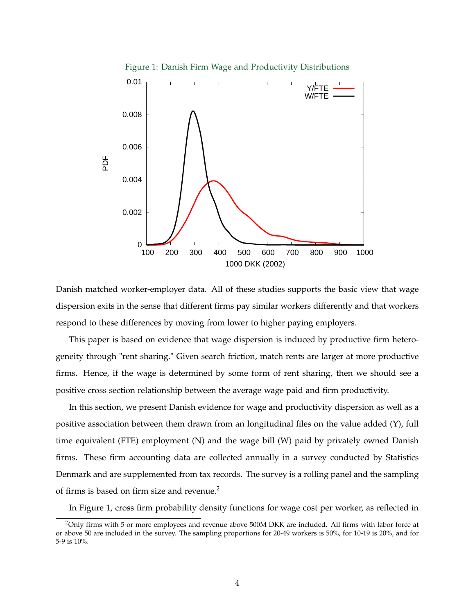

Danish matched worker-employer data. All of these studies supports the basic view that wage dispersion exits in the sense that different firms pay similar workers differently and that workers respond to these differences by moving from lower to higher paying employers.

This paper is based on evidence that wage dispersion is induced by productive firm heterogeneity through "rent sharing." Given search friction, match rents are larger at more productive firms. Hence, if the wage is determined by some form of rent sharing, then we should see a positive cross section relationship between the average wage paid and firm productivity.

In this section, we present Danish evidence for wage and productivity dispersion as well as a positive association between them drawn from an longitudinal files on the value added (Y), full time equivalent (FTE) employment (N) and the wage bill (W) paid by privately owned Danish firms. These firm accounting data are collected annually in a survey conducted by Statistics Denmark and are supplemented from tax records. The survey is a rolling panel and the sampling of firms is based on firm size and revenue.<sup>2</sup>

In Figure 1, cross firm probability density functions for wage cost per worker, as reflected in

<sup>&</sup>lt;sup>2</sup>Only firms with 5 or more employees and revenue above 500M DKK are included. All firms with labor force at or above 50 are included in the survey. The sampling proportions for 20-49 workers is 50%, for 10-19 is 20%, and for 5-9 is 10%.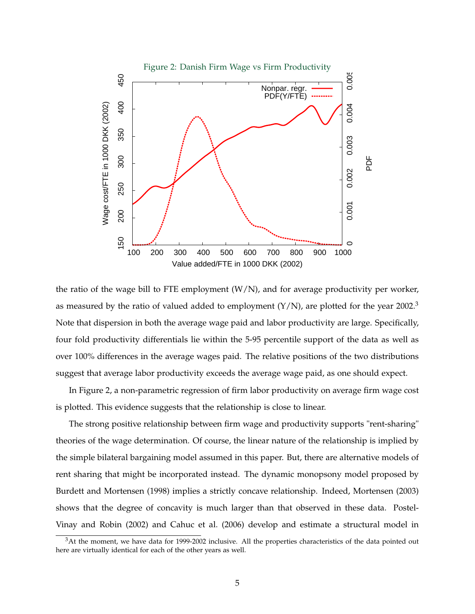

the ratio of the wage bill to FTE employment  $(W/N)$ , and for average productivity per worker, as measured by the ratio of valued added to employment  $(Y/N)$ , are plotted for the year 2002.<sup>3</sup> Note that dispersion in both the average wage paid and labor productivity are large. Specifically, four fold productivity differentials lie within the 5-95 percentile support of the data as well as over 100% differences in the average wages paid. The relative positions of the two distributions suggest that average labor productivity exceeds the average wage paid, as one should expect.

In Figure 2, a non-parametric regression of firm labor productivity on average firm wage cost is plotted. This evidence suggests that the relationship is close to linear.

The strong positive relationship between firm wage and productivity supports "rent-sharing" theories of the wage determination. Of course, the linear nature of the relationship is implied by the simple bilateral bargaining model assumed in this paper. But, there are alternative models of rent sharing that might be incorporated instead. The dynamic monopsony model proposed by Burdett and Mortensen (1998) implies a strictly concave relationship. Indeed, Mortensen (2003) shows that the degree of concavity is much larger than that observed in these data. Postel-Vinay and Robin (2002) and Cahuc et al. (2006) develop and estimate a structural model in

 $3$ At the moment, we have data for 1999-2002 inclusive. All the properties characteristics of the data pointed out here are virtually identical for each of the other years as well.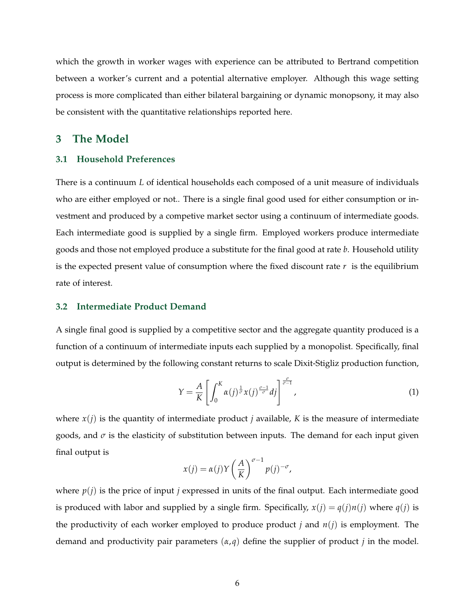which the growth in worker wages with experience can be attributed to Bertrand competition between a worker's current and a potential alternative employer. Although this wage setting process is more complicated than either bilateral bargaining or dynamic monopsony, it may also be consistent with the quantitative relationships reported here.

### **3 The Model**

#### **3.1 Household Preferences**

There is a continuum *L* of identical households each composed of a unit measure of individuals who are either employed or not.. There is a single final good used for either consumption or investment and produced by a competive market sector using a continuum of intermediate goods. Each intermediate good is supplied by a single firm. Employed workers produce intermediate goods and those not employed produce a substitute for the final good at rate *b*. Household utility is the expected present value of consumption where the fixed discount rate  $r$  is the equilibrium rate of interest.

#### **3.2 Intermediate Product Demand**

A single final good is supplied by a competitive sector and the aggregate quantity produced is a function of a continuum of intermediate inputs each supplied by a monopolist. Specifically, final output is determined by the following constant returns to scale Dixit-Stigliz production function,

$$
Y = \frac{A}{K} \left[ \int_0^K \alpha(j)^{\frac{1}{\sigma}} x(j)^{\frac{\sigma-1}{\sigma}} dj \right]^{\frac{\sigma}{\sigma-1}}, \tag{1}
$$

where  $x(i)$  is the quantity of intermediate product *j* available, *K* is the measure of intermediate goods, and  $\sigma$  is the elasticity of substitution between inputs. The demand for each input given final output is

$$
x(j) = \alpha(j)Y \left(\frac{A}{K}\right)^{\sigma-1} p(j)^{-\sigma},
$$

where  $p(i)$  is the price of input *j* expressed in units of the final output. Each intermediate good is produced with labor and supplied by a single firm. Specifically,  $x(j) = q(j)n(j)$  where  $q(j)$  is the productivity of each worker employed to produce product *j* and  $n(j)$  is employment. The demand and productivity pair parameters  $(\alpha, q)$  define the supplier of product *j* in the model.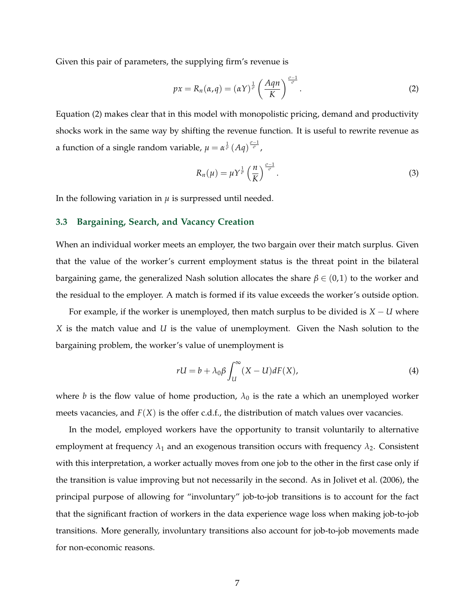Given this pair of parameters, the supplying firm's revenue is

$$
px = R_n(\alpha, q) = (\alpha Y)^{\frac{1}{\sigma}} \left(\frac{Aqn}{K}\right)^{\frac{\sigma - 1}{\sigma}}.
$$
\n(2)

Equation (2) makes clear that in this model with monopolistic pricing, demand and productivity shocks work in the same way by shifting the revenue function. It is useful to rewrite revenue as a function of a single random variable,  $\mu = \alpha^{\frac{1}{\sigma}} (Aq)^{\frac{\sigma-1}{\sigma}}$ ,

$$
R_n(\mu) = \mu Y^{\frac{1}{\sigma}} \left(\frac{n}{K}\right)^{\frac{\sigma-1}{\sigma}}.
$$
\n(3)

In the following variation in  $\mu$  is surpressed until needed.

#### **3.3 Bargaining, Search, and Vacancy Creation**

When an individual worker meets an employer, the two bargain over their match surplus. Given that the value of the worker's current employment status is the threat point in the bilateral bargaining game, the generalized Nash solution allocates the share  $\beta \in (0,1)$  to the worker and the residual to the employer. A match is formed if its value exceeds the worker's outside option.

For example, if the worker is unemployed, then match surplus to be divided is *X* − *U* where *X* is the match value and *U* is the value of unemployment. Given the Nash solution to the bargaining problem, the worker's value of unemployment is

$$
rU = b + \lambda_0 \beta \int_U^{\infty} (X - U) dF(X), \tag{4}
$$

where *b* is the flow value of home production,  $\lambda_0$  is the rate a which an unemployed worker meets vacancies, and  $F(X)$  is the offer c.d.f., the distribution of match values over vacancies.

In the model, employed workers have the opportunity to transit voluntarily to alternative employment at frequency  $\lambda_1$  and an exogenous transition occurs with frequency  $\lambda_2$ . Consistent with this interpretation, a worker actually moves from one job to the other in the first case only if the transition is value improving but not necessarily in the second. As in Jolivet et al. (2006), the principal purpose of allowing for "involuntary" job-to-job transitions is to account for the fact that the significant fraction of workers in the data experience wage loss when making job-to-job transitions. More generally, involuntary transitions also account for job-to-job movements made for non-economic reasons.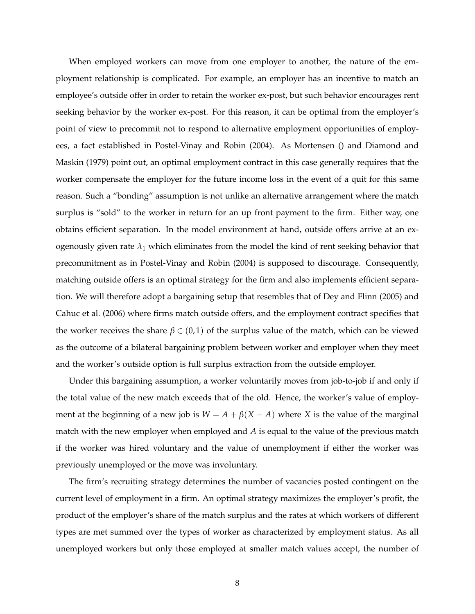When employed workers can move from one employer to another, the nature of the employment relationship is complicated. For example, an employer has an incentive to match an employee's outside offer in order to retain the worker ex-post, but such behavior encourages rent seeking behavior by the worker ex-post. For this reason, it can be optimal from the employer's point of view to precommit not to respond to alternative employment opportunities of employees, a fact established in Postel-Vinay and Robin (2004). As Mortensen () and Diamond and Maskin (1979) point out, an optimal employment contract in this case generally requires that the worker compensate the employer for the future income loss in the event of a quit for this same reason. Such a "bonding" assumption is not unlike an alternative arrangement where the match surplus is "sold" to the worker in return for an up front payment to the firm. Either way, one obtains efficient separation. In the model environment at hand, outside offers arrive at an exogenously given rate  $\lambda_1$  which eliminates from the model the kind of rent seeking behavior that precommitment as in Postel-Vinay and Robin (2004) is supposed to discourage. Consequently, matching outside offers is an optimal strategy for the firm and also implements efficient separation. We will therefore adopt a bargaining setup that resembles that of Dey and Flinn (2005) and Cahuc et al. (2006) where firms match outside offers, and the employment contract specifies that the worker receives the share  $\beta \in (0,1)$  of the surplus value of the match, which can be viewed as the outcome of a bilateral bargaining problem between worker and employer when they meet and the worker's outside option is full surplus extraction from the outside employer.

Under this bargaining assumption, a worker voluntarily moves from job-to-job if and only if the total value of the new match exceeds that of the old. Hence, the worker's value of employment at the beginning of a new job is  $W = A + \beta(X - A)$  where *X* is the value of the marginal match with the new employer when employed and *A* is equal to the value of the previous match if the worker was hired voluntary and the value of unemployment if either the worker was previously unemployed or the move was involuntary.

The firm's recruiting strategy determines the number of vacancies posted contingent on the current level of employment in a firm. An optimal strategy maximizes the employer's profit, the product of the employer's share of the match surplus and the rates at which workers of different types are met summed over the types of worker as characterized by employment status. As all unemployed workers but only those employed at smaller match values accept, the number of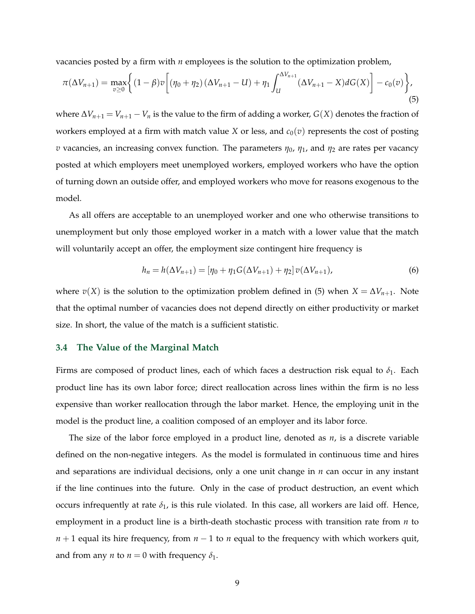vacancies posted by a firm with *n* employees is the solution to the optimization problem,

$$
\pi(\Delta V_{n+1}) = \max_{v \ge 0} \left\{ (1 - \beta)v \left[ (\eta_0 + \eta_2)(\Delta V_{n+1} - U) + \eta_1 \int_U^{\Delta V_{n+1}} (\Delta V_{n+1} - X) dG(X) \right] - c_0(v) \right\},\tag{5}
$$

*where*  $\Delta V_{n+1} = V_{n+1} - V_n$  is the value to the firm of adding a worker, *G*(*X*) denotes the fraction of workers employed at a firm with match value *X* or less, and  $c_0(v)$  represents the cost of posting *v* vacancies, an increasing convex function. The parameters  $\eta_0$ ,  $\eta_1$ , and  $\eta_2$  are rates per vacancy posted at which employers meet unemployed workers, employed workers who have the option of turning down an outside offer, and employed workers who move for reasons exogenous to the model.

As all offers are acceptable to an unemployed worker and one who otherwise transitions to unemployment but only those employed worker in a match with a lower value that the match will voluntarily accept an offer, the employment size contingent hire frequency is

$$
h_n = h(\Delta V_{n+1}) = [\eta_0 + \eta_1 G(\Delta V_{n+1}) + \eta_2] v(\Delta V_{n+1}),
$$
\n(6)

where  $v(X)$  is the solution to the optimization problem defined in (5) when  $X = \Delta V_{n+1}$ . Note that the optimal number of vacancies does not depend directly on either productivity or market size. In short, the value of the match is a sufficient statistic.

#### **3.4 The Value of the Marginal Match**

Firms are composed of product lines, each of which faces a destruction risk equal to  $\delta_1$ . Each product line has its own labor force; direct reallocation across lines within the firm is no less expensive than worker reallocation through the labor market. Hence, the employing unit in the model is the product line, a coalition composed of an employer and its labor force.

The size of the labor force employed in a product line, denoted as *n*, is a discrete variable defined on the non-negative integers. As the model is formulated in continuous time and hires and separations are individual decisions, only a one unit change in *n* can occur in any instant if the line continues into the future. Only in the case of product destruction, an event which occurs infrequently at rate  $\delta_1$ , is this rule violated. In this case, all workers are laid off. Hence, employment in a product line is a birth-death stochastic process with transition rate from *n* to *n* + 1 equal its hire frequency, from *n* − 1 to *n* equal to the frequency with which workers quit, and from any *n* to  $n = 0$  with frequency  $\delta_1$ .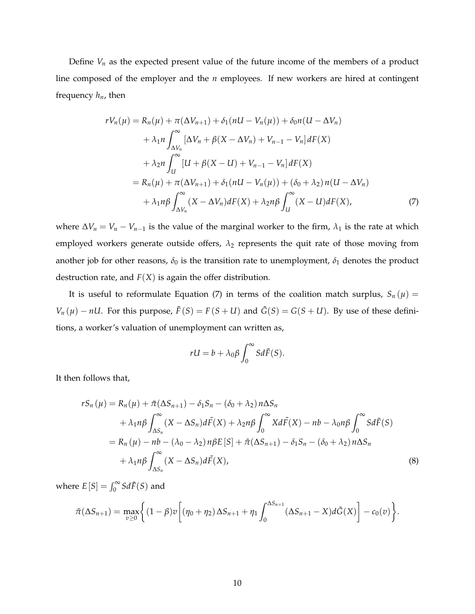Define  $V_n$  as the expected present value of the future income of the members of a product line composed of the employer and the *n* employees. If new workers are hired at contingent frequency *hn*, then

$$
rV_{n}(\mu) = R_{n}(\mu) + \pi(\Delta V_{n+1}) + \delta_{1}(nU - V_{n}(\mu)) + \delta_{0}n(U - \Delta V_{n})
$$
  
+  $\lambda_{1}n \int_{\Delta V_{n}}^{\infty} [\Delta V_{n} + \beta(X - \Delta V_{n}) + V_{n-1} - V_{n}] dF(X)$   
+  $\lambda_{2}n \int_{U}^{\infty} [U + \beta(X - U) + V_{n-1} - V_{n}] dF(X)$   
=  $R_{n}(\mu) + \pi(\Delta V_{n+1}) + \delta_{1}(nU - V_{n}(\mu)) + (\delta_{0} + \lambda_{2})n(U - \Delta V_{n})$   
+  $\lambda_{1}n\beta \int_{\Delta V_{n}}^{\infty} (X - \Delta V_{n}) dF(X) + \lambda_{2}n\beta \int_{U}^{\infty} (X - U) dF(X),$  (7)

where  $\Delta V_n = V_n - V_{n-1}$  is the value of the marginal worker to the firm,  $\lambda_1$  is the rate at which employed workers generate outside offers,  $\lambda_2$  represents the quit rate of those moving from another job for other reasons,  $\delta_0$  is the transition rate to unemployment,  $\delta_1$  denotes the product destruction rate, and  $F(X)$  is again the offer distribution.

It is useful to reformulate Equation (7) in terms of the coalition match surplus,  $S_n(\mu)$  = *V<sub>n</sub>* ( $\mu$ ) − *nU*. For this purpose,  $\tilde{F}(S) = F(S + U)$  and  $\tilde{G}(S) = G(S + U)$ . By use of these definitions, a worker's valuation of unemployment can written as,

$$
rU = b + \lambda_0 \beta \int_0^\infty S d\tilde{F}(S).
$$

It then follows that,

$$
rS_n(\mu) = R_n(\mu) + \tilde{\pi}(\Delta S_{n+1}) - \delta_1 S_n - (\delta_0 + \lambda_2) n \Delta S_n
$$
  
+  $\lambda_1 n \beta \int_{\Delta S_n}^{\infty} (X - \Delta S_n) d\tilde{F}(X) + \lambda_2 n \beta \int_0^{\infty} X d\tilde{F}(X) - nb - \lambda_0 n \beta \int_0^{\infty} S d\tilde{F}(S)$   
=  $R_n(\mu) - nb - (\lambda_0 - \lambda_2) n \beta E[S] + \tilde{\pi}(\Delta S_{n+1}) - \delta_1 S_n - (\delta_0 + \lambda_2) n \Delta S_n$   
+  $\lambda_1 n \beta \int_{\Delta S_n}^{\infty} (X - \Delta S_n) d\tilde{F}(X),$  (8)

where  $E[S] = \int_0^\infty S d\tilde{F}(S)$  and

$$
\tilde{\pi}(\Delta S_{n+1}) = \max_{v \ge 0} \Biggl\{ (1 - \beta)v \Biggl[ (\eta_0 + \eta_2) \Delta S_{n+1} + \eta_1 \int_0^{\Delta S_{n+1}} (\Delta S_{n+1} - X) d\tilde{G}(X) \Biggr] - c_0(v) \Biggr\}.
$$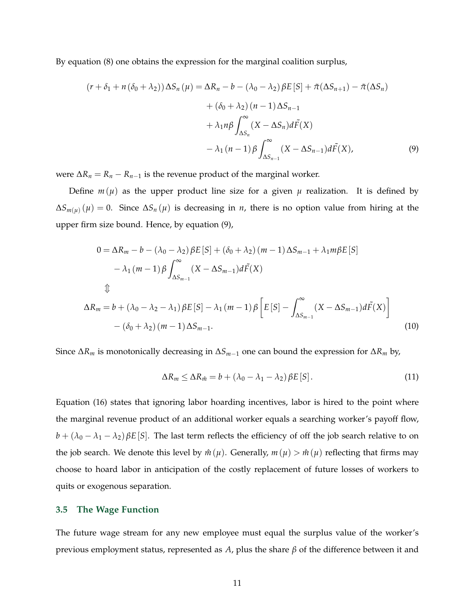By equation (8) one obtains the expression for the marginal coalition surplus,

$$
(r + \delta_1 + n(\delta_0 + \lambda_2)) \Delta S_n(\mu) = \Delta R_n - b - (\lambda_0 - \lambda_2) \beta E[S] + \tilde{\pi}(\Delta S_{n+1}) - \tilde{\pi}(\Delta S_n)
$$

$$
+ (\delta_0 + \lambda_2)(n - 1) \Delta S_{n-1}
$$

$$
+ \lambda_1 n \beta \int_{\Delta S_n}^{\infty} (X - \Delta S_n) d\tilde{F}(X)
$$

$$
- \lambda_1 (n - 1) \beta \int_{\Delta S_{n-1}}^{\infty} (X - \Delta S_{n-1}) d\tilde{F}(X), \tag{9}
$$

were  $\Delta R_n = R_n - R_{n-1}$  is the revenue product of the marginal worker.

Define  $m(\mu)$  as the upper product line size for a given  $\mu$  realization. It is defined by  $\Delta S_{m(\mu)}(\mu) = 0$ . Since  $\Delta S_n(\mu)$  is decreasing in *n*, there is no option value from hiring at the upper firm size bound. Hence, by equation (9),

$$
0 = \Delta R_m - b - (\lambda_0 - \lambda_2) \beta E[S] + (\delta_0 + \lambda_2) (m - 1) \Delta S_{m-1} + \lambda_1 m \beta E[S]
$$
  
\n
$$
- \lambda_1 (m - 1) \beta \int_{\Delta S_{m-1}}^{\infty} (X - \Delta S_{m-1}) d\tilde{F}(X)
$$
  
\n
$$
\updownarrow
$$
  
\n
$$
\Delta R_m = b + (\lambda_0 - \lambda_2 - \lambda_1) \beta E[S] - \lambda_1 (m - 1) \beta \left[ E[S] - \int_{\Delta S_{m-1}}^{\infty} (X - \Delta S_{m-1}) d\tilde{F}(X) \right]
$$
  
\n
$$
- (\delta_0 + \lambda_2) (m - 1) \Delta S_{m-1}.
$$
\n(10)

Since ∆*R<sup>m</sup>* is monotonically decreasing in ∆*Sm*−<sup>1</sup> one can bound the expression for ∆*R<sup>m</sup>* by,

$$
\Delta R_m \le \Delta R_{\hat{m}} = b + (\lambda_0 - \lambda_1 - \lambda_2) \beta E[S]. \tag{11}
$$

Equation (16) states that ignoring labor hoarding incentives, labor is hired to the point where the marginal revenue product of an additional worker equals a searching worker's payoff flow,  $b + (\lambda_0 - \lambda_1 - \lambda_2) \beta E[S]$ . The last term reflects the efficiency of off the job search relative to on the job search. We denote this level by  $\hat{m}(\mu)$ . Generally,  $m(\mu) > \hat{m}(\mu)$  reflecting that firms may choose to hoard labor in anticipation of the costly replacement of future losses of workers to quits or exogenous separation.

#### **3.5 The Wage Function**

The future wage stream for any new employee must equal the surplus value of the worker's previous employment status, represented as *A*, plus the share *β* of the difference between it and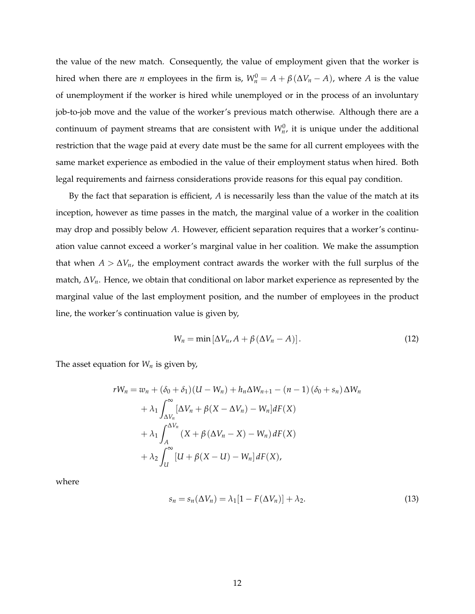the value of the new match. Consequently, the value of employment given that the worker is hired when there are *n* employees in the firm is,  $W_n^0 = A + \beta(\Delta V_n - A)$ , where *A* is the value of unemployment if the worker is hired while unemployed or in the process of an involuntary job-to-job move and the value of the worker's previous match otherwise. Although there are a continuum of payment streams that are consistent with  $W_n^0$ , it is unique under the additional restriction that the wage paid at every date must be the same for all current employees with the same market experience as embodied in the value of their employment status when hired. Both legal requirements and fairness considerations provide reasons for this equal pay condition.

By the fact that separation is efficient, *A* is necessarily less than the value of the match at its inception, however as time passes in the match, the marginal value of a worker in the coalition may drop and possibly below *A*. However, efficient separation requires that a worker's continuation value cannot exceed a worker's marginal value in her coalition. We make the assumption that when  $A > \Delta V_n$ , the employment contract awards the worker with the full surplus of the match, ∆*Vn*. Hence, we obtain that conditional on labor market experience as represented by the marginal value of the last employment position, and the number of employees in the product line, the worker's continuation value is given by,

$$
W_n = \min\left[\Delta V_n, A + \beta \left(\Delta V_n - A\right)\right].\tag{12}
$$

The asset equation for *W<sup>n</sup>* is given by,

$$
rW_n = w_n + (\delta_0 + \delta_1)(U - W_n) + h_n \Delta W_{n+1} - (n - 1)(\delta_0 + s_n) \Delta W_n
$$
  
+  $\lambda_1 \int_{\Delta V_n}^{\infty} [\Delta V_n + \beta (X - \Delta V_n) - W_n] dF(X)$   
+  $\lambda_1 \int_A^{\Delta V_n} (X + \beta (\Delta V_n - X) - W_n) dF(X)$   
+  $\lambda_2 \int_U^{\infty} [U + \beta (X - U) - W_n] dF(X),$ 

where

$$
s_n = s_n(\Delta V_n) = \lambda_1 [1 - F(\Delta V_n)] + \lambda_2. \tag{13}
$$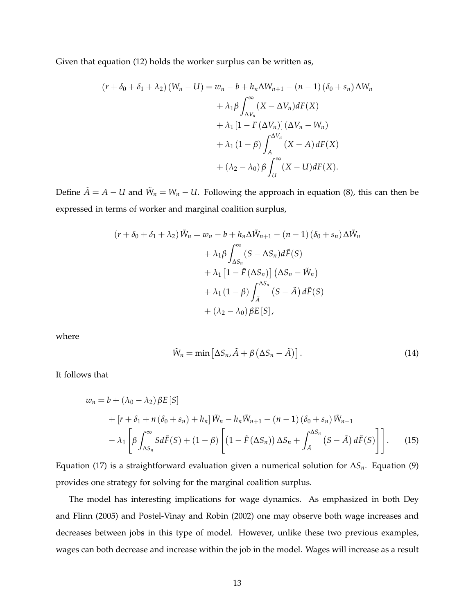Given that equation (12) holds the worker surplus can be written as,

$$
(r + \delta_0 + \delta_1 + \lambda_2) (W_n - U) = w_n - b + h_n \Delta W_{n+1} - (n - 1) (\delta_0 + s_n) \Delta W_n
$$
  
+  $\lambda_1 \beta \int_{\Delta V_n}^{\infty} (X - \Delta V_n) dF(X)$   
+  $\lambda_1 [1 - F(\Delta V_n)] (\Delta V_n - W_n)$   
+  $\lambda_1 (1 - \beta) \int_A^{\Delta V_n} (X - A) dF(X)$   
+  $(\lambda_2 - \lambda_0) \beta \int_U^{\infty} (X - U) dF(X).$ 

Define  $\tilde{A} = A - U$  and  $\tilde{W}_n = W_n - U$ . Following the approach in equation (8), this can then be expressed in terms of worker and marginal coalition surplus,

$$
(r + \delta_0 + \delta_1 + \lambda_2) \tilde{W}_n = w_n - b + h_n \Delta \tilde{W}_{n+1} - (n - 1) (\delta_0 + s_n) \Delta \tilde{W}_n
$$
  
+  $\lambda_1 \beta \int_{\Delta S_n}^{\infty} (S - \Delta S_n) d\tilde{F}(S)$   
+  $\lambda_1 [1 - \tilde{F}(\Delta S_n)] (\Delta S_n - \tilde{W}_n)$   
+  $\lambda_1 (1 - \beta) \int_{\tilde{A}}^{\Delta S_n} (S - \tilde{A}) d\tilde{F}(S)$   
+  $(\lambda_2 - \lambda_0) \beta E[S],$ 

where

$$
\tilde{W}_n = \min \left[ \Delta S_n, \tilde{A} + \beta \left( \Delta S_n - \tilde{A} \right) \right]. \tag{14}
$$

It follows that

$$
w_n = b + (\lambda_0 - \lambda_2) \beta E[S]
$$
  
+ 
$$
[r + \delta_1 + n(\delta_0 + s_n) + h_n] \tilde{W}_n - h_n \tilde{W}_{n+1} - (n-1)(\delta_0 + s_n) \tilde{W}_{n-1}
$$
  
- 
$$
\lambda_1 \left[ \beta \int_{\Delta S_n}^{\infty} S d\tilde{F}(S) + (1 - \beta) \left[ (1 - \tilde{F}(\Delta S_n)) \Delta S_n + \int_{\tilde{A}}^{\Delta S_n} (S - \tilde{A}) d\tilde{F}(S) \right] \right].
$$
 (15)

Equation (17) is a straightforward evaluation given a numerical solution for ∆*Sn*. Equation (9) provides one strategy for solving for the marginal coalition surplus.

The model has interesting implications for wage dynamics. As emphasized in both Dey and Flinn (2005) and Postel-Vinay and Robin (2002) one may observe both wage increases and decreases between jobs in this type of model. However, unlike these two previous examples, wages can both decrease and increase within the job in the model. Wages will increase as a result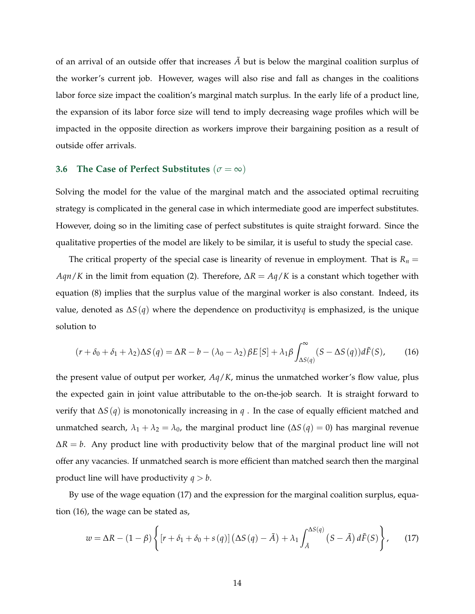of an arrival of an outside offer that increases  $\tilde{A}$  but is below the marginal coalition surplus of the worker's current job. However, wages will also rise and fall as changes in the coalitions labor force size impact the coalition's marginal match surplus. In the early life of a product line, the expansion of its labor force size will tend to imply decreasing wage profiles which will be impacted in the opposite direction as workers improve their bargaining position as a result of outside offer arrivals.

#### **3.6 The Case of Perfect Substitutes** ( $\sigma = \infty$ )

Solving the model for the value of the marginal match and the associated optimal recruiting strategy is complicated in the general case in which intermediate good are imperfect substitutes. However, doing so in the limiting case of perfect substitutes is quite straight forward. Since the qualitative properties of the model are likely to be similar, it is useful to study the special case.

The critical property of the special case is linearity of revenue in employment. That is  $R_n =$ *Aqn*/*K* in the limit from equation (2). Therefore, ∆*R* = *Aq*/*K* is a constant which together with equation (8) implies that the surplus value of the marginal worker is also constant. Indeed, its value, denoted as ∆*S*(*q*) where the dependence on productivity*q* is emphasized, is the unique solution to

$$
(r + \delta_0 + \delta_1 + \lambda_2) \Delta S(q) = \Delta R - b - (\lambda_0 - \lambda_2) \beta E[S] + \lambda_1 \beta \int_{\Delta S(q)}^{\infty} (S - \Delta S(q)) d\tilde{F}(S), \tag{16}
$$

the present value of output per worker, *Aq*/*K*, minus the unmatched worker's flow value, plus the expected gain in joint value attributable to the on-the-job search. It is straight forward to verify that ∆*S*(*q*) is monotonically increasing in *q* . In the case of equally efficient matched and unmatched search,  $\lambda_1 + \lambda_2 = \lambda_0$ , the marginal product line ( $\Delta S(q) = 0$ ) has marginal revenue  $\Delta R = b$ . Any product line with productivity below that of the marginal product line will not offer any vacancies. If unmatched search is more efficient than matched search then the marginal product line will have productivity  $q > b$ .

By use of the wage equation (17) and the expression for the marginal coalition surplus, equation (16), the wage can be stated as,

$$
w = \Delta R - (1 - \beta) \left\{ \left[ r + \delta_1 + \delta_0 + s(q) \right] \left( \Delta S(q) - \tilde{A} \right) + \lambda_1 \int_{\tilde{A}}^{\Delta S(q)} \left( S - \tilde{A} \right) d\tilde{F}(S) \right\},\tag{17}
$$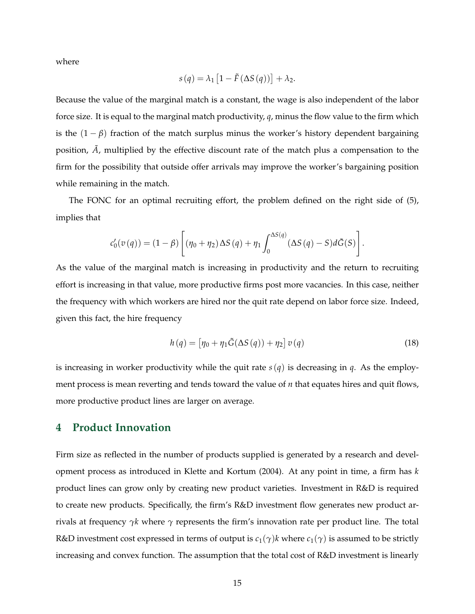where

$$
s(q) = \lambda_1 \left[ 1 - \tilde{F} \left( \Delta S \left( q \right) \right) \right] + \lambda_2.
$$

Because the value of the marginal match is a constant, the wage is also independent of the labor force size. It is equal to the marginal match productivity, *q*, minus the flow value to the firm which is the  $(1 - \beta)$  fraction of the match surplus minus the worker's history dependent bargaining position,  $\tilde{A}$ , multiplied by the effective discount rate of the match plus a compensation to the firm for the possibility that outside offer arrivals may improve the worker's bargaining position while remaining in the match.

The FONC for an optimal recruiting effort, the problem defined on the right side of (5), implies that

$$
c_0'(v(q)) = (1 - \beta) \left[ (\eta_0 + \eta_2) \Delta S(q) + \eta_1 \int_0^{\Delta S(q)} (\Delta S(q) - S) d\tilde{G}(S) \right].
$$

As the value of the marginal match is increasing in productivity and the return to recruiting effort is increasing in that value, more productive firms post more vacancies. In this case, neither the frequency with which workers are hired nor the quit rate depend on labor force size. Indeed, given this fact, the hire frequency

$$
h(q) = \left[\eta_0 + \eta_1 \tilde{G}(\Delta S(q)) + \eta_2\right] v(q)
$$
\n(18)

is increasing in worker productivity while the quit rate  $s(q)$  is decreasing in *q*. As the employment process is mean reverting and tends toward the value of *n* that equates hires and quit flows, more productive product lines are larger on average.

### **4 Product Innovation**

Firm size as reflected in the number of products supplied is generated by a research and development process as introduced in Klette and Kortum (2004). At any point in time, a firm has *k* product lines can grow only by creating new product varieties. Investment in R&D is required to create new products. Specifically, the firm's R&D investment flow generates new product arrivals at frequency *γk* where *γ* represents the firm's innovation rate per product line. The total R&D investment cost expressed in terms of output is  $c_1(\gamma)$ *k* where  $c_1(\gamma)$  is assumed to be strictly increasing and convex function. The assumption that the total cost of R&D investment is linearly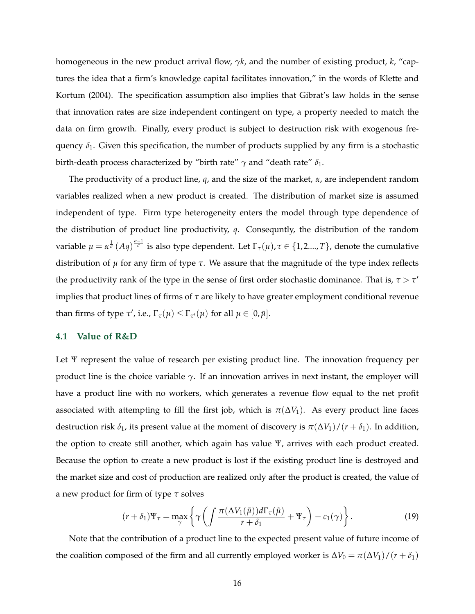homogeneous in the new product arrival flow, *γk*, and the number of existing product, *k*, "captures the idea that a firm's knowledge capital facilitates innovation," in the words of Klette and Kortum (2004). The specification assumption also implies that Gibrat's law holds in the sense that innovation rates are size independent contingent on type, a property needed to match the data on firm growth. Finally, every product is subject to destruction risk with exogenous frequency  $\delta_1$ . Given this specification, the number of products supplied by any firm is a stochastic birth-death process characterized by "birth rate" *γ* and "death rate" *δ*1.

The productivity of a product line, *q*, and the size of the market, *α*, are independent random variables realized when a new product is created. The distribution of market size is assumed independent of type. Firm type heterogeneity enters the model through type dependence of the distribution of product line productivity, *q*. Consequntly, the distribution of the random variable  $\mu=\alpha^{\frac{1}{\sigma}}(Aq)^{\frac{\sigma-1}{\sigma}}$  is also type dependent. Let  $\Gamma_\tau(\mu), \tau\in\{1,2....,T\}$ , denote the cumulative distribution of *µ* for any firm of type *τ*. We assure that the magnitude of the type index reflects the productivity rank of the type in the sense of first order stochastic dominance. That is,  $\tau > \tau'$ implies that product lines of firms of *τ* are likely to have greater employment conditional revenue than firms of type  $\tau'$ , i.e.,  $\Gamma_{\tau}(\mu) \leq \Gamma_{\tau'}(\mu)$  for all  $\mu \in [0, \bar{\mu}]$ .

#### **4.1 Value of R&D**

Let Ψ represent the value of research per existing product line. The innovation frequency per product line is the choice variable  $\gamma$ . If an innovation arrives in next instant, the employer will have a product line with no workers, which generates a revenue flow equal to the net profit associated with attempting to fill the first job, which is  $\pi(\Delta V_1)$ . As every product line faces destruction risk  $\delta_1$ , its present value at the moment of discovery is  $\pi(\Delta V_1)/(r + \delta_1)$ . In addition, the option to create still another, which again has value Ψ, arrives with each product created. Because the option to create a new product is lost if the existing product line is destroyed and the market size and cost of production are realized only after the product is created, the value of a new product for firm of type *τ* solves

$$
(r+\delta_1)\Psi_{\tau} = \max_{\gamma} \left\{ \gamma \left( \int \frac{\pi(\Delta V_1(\tilde{\mu})) d\Gamma_{\tau}(\tilde{\mu})}{r+\delta_1} + \Psi_{\tau} \right) - c_1(\gamma) \right\}.
$$
 (19)

Note that the contribution of a product line to the expected present value of future income of the coalition composed of the firm and all currently employed worker is  $\Delta V_0 = \pi (\Delta V_1)/(r + \delta_1)$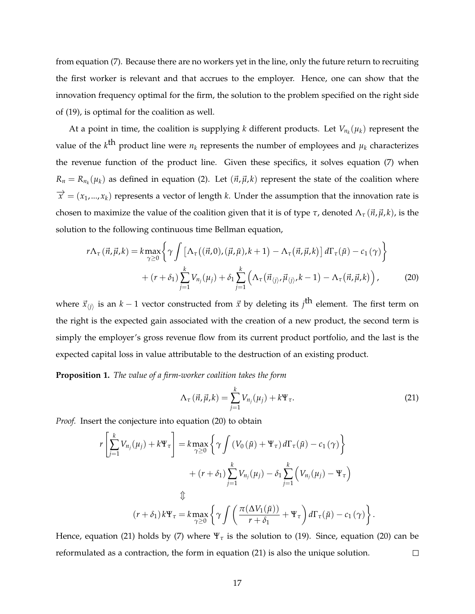from equation (7). Because there are no workers yet in the line, only the future return to recruiting the first worker is relevant and that accrues to the employer. Hence, one can show that the innovation frequency optimal for the firm, the solution to the problem specified on the right side of (19), is optimal for the coalition as well.

At a point in time, the coalition is supplying *k* different products. Let  $V_{n_k}(\mu_k)$  represent the value of the  $k^{\text{th}}$  product line were  $n_k$  represents the number of employees and  $\mu_k$  characterizes the revenue function of the product line. Given these specifics, it solves equation (7) when  $R_n = R_{n_k}(\mu_k)$  as defined in equation (2). Let  $(\vec{n}, \vec{\mu}, k)$  represent the state of the coalition where  $\vec{x}$  = ( $x_1,...,x_k$ ) represents a vector of length *k*. Under the assumption that the innovation rate is chosen to maximize the value of the coalition given that it is of type  $\tau$ , denoted  $\Lambda_{\tau}(\vec{n}, \vec{\mu}, k)$ , is the solution to the following continuous time Bellman equation,

$$
r\Lambda_{\tau}(\vec{n},\vec{\mu},k) = k \max_{\gamma \ge 0} \left\{ \gamma \int \left[ \Lambda_{\tau}((\vec{n},0),(\vec{\mu},\tilde{\mu}),k+1) - \Lambda_{\tau}(\vec{n},\vec{\mu},k) \right] d\Gamma_{\tau}(\tilde{\mu}) - c_{1}(\gamma) \right\} + (r+\delta_{1}) \sum_{j=1}^{k} V_{n_{j}}(\mu_{j}) + \delta_{1} \sum_{j=1}^{k} \left( \Lambda_{\tau}(\vec{n}_{\langle j \rangle},\vec{\mu}_{\langle j \rangle},k-1) - \Lambda_{\tau}(\vec{n},\vec{\mu},k) \right), \tag{20}
$$

where  $\vec{x}_{\langle j \rangle}$  is an  $k-1$  vector constructed from  $\vec{x}$  by deleting its  $j^{\text{th}}$  element. The first term on the right is the expected gain associated with the creation of a new product, the second term is simply the employer's gross revenue flow from its current product portfolio, and the last is the expected capital loss in value attributable to the destruction of an existing product.

**Proposition 1.** *The value of a firm-worker coalition takes the form*

$$
\Lambda_{\tau}(\vec{n}, \vec{\mu}, k) = \sum_{j=1}^{k} V_{n_j}(\mu_j) + k \Psi_{\tau}.
$$
\n(21)

*Proof.* Insert the conjecture into equation (20) to obtain

*r*

$$
\left[\sum_{j=1}^{k} V_{n_j}(\mu_j) + k \Psi_{\tau}\right] = k \max_{\gamma \ge 0} \left\{\gamma \int \left(V_0(\tilde{\mu}) + \Psi_{\tau}\right) d\Gamma_{\tau}(\tilde{\mu}) - c_1(\gamma)\right\} \n+ (r + \delta_1) \sum_{j=1}^{k} V_{n_j}(\mu_j) - \delta_1 \sum_{j=1}^{k} \left(V_{n_j}(\mu_j) - \Psi_{\tau}\right) \n\updownarrow
$$
\n
$$
(r + \delta_1) k \Psi_{\tau} = k \max_{\gamma \ge 0} \left\{\gamma \int \left(\frac{\pi(\Delta V_1(\tilde{\mu}))}{r + \delta_1} + \Psi_{\tau}\right) d\Gamma_{\tau}(\tilde{\mu}) - c_1(\gamma)\right\}.
$$

Hence, equation (21) holds by (7) where  $\Psi_{\tau}$  is the solution to (19). Since, equation (20) can be reformulated as a contraction, the form in equation (21) is also the unique solution.  $\Box$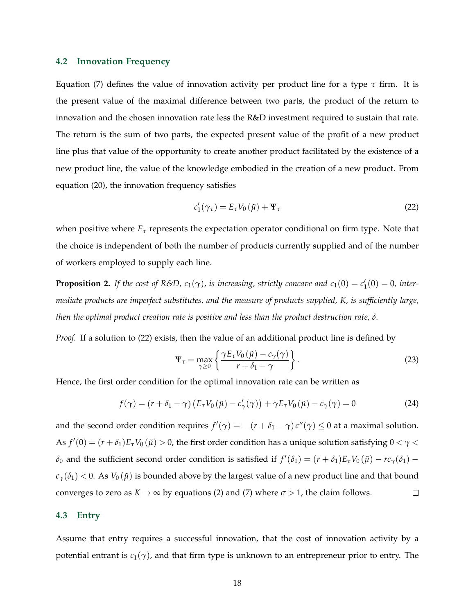#### **4.2 Innovation Frequency**

Equation (7) defines the value of innovation activity per product line for a type *τ* firm. It is the present value of the maximal difference between two parts, the product of the return to innovation and the chosen innovation rate less the R&D investment required to sustain that rate. The return is the sum of two parts, the expected present value of the profit of a new product line plus that value of the opportunity to create another product facilitated by the existence of a new product line, the value of the knowledge embodied in the creation of a new product. From equation (20), the innovation frequency satisfies

$$
c_1'(\gamma_\tau) = E_\tau V_0(\tilde{\mu}) + \Psi_\tau
$$
\n(22)

when positive where  $E_{\tau}$  represents the expectation operator conditional on firm type. Note that the choice is independent of both the number of products currently supplied and of the number of workers employed to supply each line.

**Proposition 2.** If the cost of R&D,  $c_1(\gamma)$ , is increasing, strictly concave and  $c_1(0) = c'_1(0) = 0$ , inter*mediate products are imperfect substitutes, and the measure of products supplied, K, is sufficiently large, then the optimal product creation rate is positive and less than the product destruction rate, δ.*

*Proof.* If a solution to (22) exists, then the value of an additional product line is defined by

$$
\Psi_{\tau} = \max_{\gamma \ge 0} \left\{ \frac{\gamma E_{\tau} V_0(\tilde{\mu}) - c_{\gamma}(\gamma)}{r + \delta_1 - \gamma} \right\}.
$$
 (23)

Hence, the first order condition for the optimal innovation rate can be written as

$$
f(\gamma) = (r + \delta_1 - \gamma) \left( E_\tau V_0(\tilde{\mu}) - c'_\gamma(\gamma) \right) + \gamma E_\tau V_0(\tilde{\mu}) - c_\gamma(\gamma) = 0 \tag{24}
$$

and the second order condition requires  $f'(\gamma) = -(r + \delta_1 - \gamma) c''(\gamma) \leq 0$  at a maximal solution. As  $f'(0) = (r + \delta_1)E_\tau V_0(\tilde{\mu}) > 0$ , the first order condition has a unique solution satisfying  $0 < \gamma <$ *δ*<sub>0</sub> and the sufficient second order condition is satisfied if  $f'(\delta_1) = (r + \delta_1)E_\tau V_0(\tilde\mu) - rc_\gamma(\delta_1)$  –  $c_{\gamma}(\delta_1)$  < 0. As  $V_0(\tilde{\mu})$  is bounded above by the largest value of a new product line and that bound converges to zero as  $K \to \infty$  by equations (2) and (7) where  $\sigma > 1$ , the claim follows.  $\Box$ 

#### **4.3 Entry**

Assume that entry requires a successful innovation, that the cost of innovation activity by a potential entrant is  $c_1(\gamma)$ , and that firm type is unknown to an entrepreneur prior to entry. The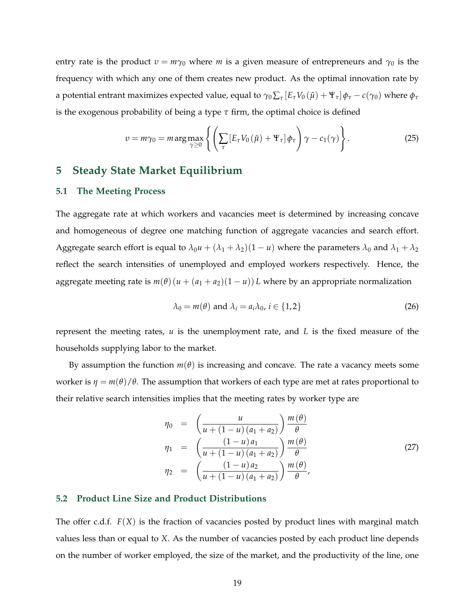entry rate is the product  $v = m\gamma_0$  where *m* is a given measure of entrepreneurs and  $\gamma_0$  is the frequency with which any one of them creates new product. As the optimal innovation rate by a potential entrant maximizes expected value, equal to  $\gamma_0 \sum_{\tau} [E_\tau V_0(\tilde{\mu}) + \Psi_\tau] \phi_\tau - c(\gamma_0)$  where  $\phi_\tau$ is the exogenous probability of being a type *τ* firm, the optimal choice is defined

$$
v = m\gamma_0 = m \arg \max_{\gamma \ge 0} \left\{ \left( \sum_{\tau} \left[ E_{\tau} V_0 \left( \tilde{\mu} \right) + \Psi_{\tau} \right] \phi_{\tau} \right) \gamma - c_1(\gamma) \right\}.
$$
 (25)

### **5 Steady State Market Equilibrium**

#### **5.1 The Meeting Process**

The aggregate rate at which workers and vacancies meet is determined by increasing concave and homogeneous of degree one matching function of aggregate vacancies and search effort. Aggregate search effort is equal to  $\lambda_0 u + (\lambda_1 + \lambda_2)(1 - u)$  where the parameters  $\lambda_0$  and  $\lambda_1 + \lambda_2$ reflect the search intensities of unemployed and employed workers respectively. Hence, the aggregate meeting rate is  $m(\theta)(u + (a_1 + a_2)(1 - u))L$  where by an appropriate normalization

$$
\lambda_0 = m(\theta) \text{ and } \lambda_i = a_i \lambda_0, i \in \{1, 2\}
$$
 (26)

represent the meeting rates, *u* is the unemployment rate, and *L* is the fixed measure of the households supplying labor to the market.

By assumption the function *m*(*θ*) is increasing and concave. The rate a vacancy meets some worker is  $\eta = m(\theta)/\theta$ . The assumption that workers of each type are met at rates proportional to their relative search intensities implies that the meeting rates by worker type are

$$
\eta_0 = \left(\frac{u}{u + (1 - u)(a_1 + a_2)}\right) \frac{m(\theta)}{\theta} \n\eta_1 = \left(\frac{(1 - u)a_1}{u + (1 - u)(a_1 + a_2)}\right) \frac{m(\theta)}{\theta} \n\eta_2 = \left(\frac{(1 - u)a_2}{u + (1 - u)(a_1 + a_2)}\right) \frac{m(\theta)}{\theta},
$$
\n(27)

#### **5.2 Product Line Size and Product Distributions**

The offer c.d.f. *F*(*X*) is the fraction of vacancies posted by product lines with marginal match values less than or equal to *X*. As the number of vacancies posted by each product line depends on the number of worker employed, the size of the market, and the productivity of the line, one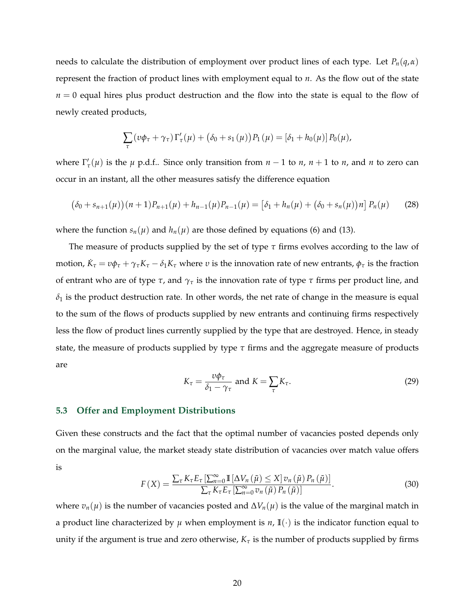needs to calculate the distribution of employment over product lines of each type. Let *Pn*(*q*,*α*) represent the fraction of product lines with employment equal to *n*. As the flow out of the state  $n = 0$  equal hires plus product destruction and the flow into the state is equal to the flow of newly created products,

$$
\sum_{\tau} (v\phi_{\tau} + \gamma_{\tau}) \Gamma'_{\tau}(\mu) + (\delta_0 + s_1(\mu)) P_1(\mu) = [\delta_1 + h_0(\mu)] P_0(\mu),
$$

where  $\Gamma'_{\tau}(\mu)$  is the  $\mu$  p.d.f.. Since only transition from  $n-1$  to  $n$ ,  $n+1$  to  $n$ , and  $n$  to zero can occur in an instant, all the other measures satisfy the difference equation

$$
(\delta_0 + s_{n+1}(\mu))(n+1)P_{n+1}(\mu) + h_{n-1}(\mu)P_{n-1}(\mu) = [\delta_1 + h_n(\mu) + (\delta_0 + s_n(\mu))n]P_n(\mu)
$$
 (28)

where the function  $s_n(\mu)$  and  $h_n(\mu)$  are those defined by equations (6) and (13).

The measure of products supplied by the set of type *τ* firms evolves according to the law of motion,  $\dot{K}_{\tau} = v\phi_{\tau} + \gamma_{\tau}K_{\tau} - \delta_1K_{\tau}$  where *v* is the innovation rate of new entrants,  $\phi_{\tau}$  is the fraction of entrant who are of type *τ*, and *γ<sup>τ</sup>* is the innovation rate of type *τ* firms per product line, and  $\delta_1$  is the product destruction rate. In other words, the net rate of change in the measure is equal to the sum of the flows of products supplied by new entrants and continuing firms respectively less the flow of product lines currently supplied by the type that are destroyed. Hence, in steady state, the measure of products supplied by type *τ* firms and the aggregate measure of products are

$$
K_{\tau} = \frac{v\phi_{\tau}}{\delta_1 - \gamma_{\tau}} \text{ and } K = \sum_{\tau} K_{\tau}.
$$
 (29)

#### **5.3 Offer and Employment Distributions**

Given these constructs and the fact that the optimal number of vacancies posted depends only on the marginal value, the market steady state distribution of vacancies over match value offers is

$$
F(X) = \frac{\sum_{\tau} K_{\tau} E_{\tau} \left[ \sum_{n=0}^{\infty} \mathbb{I} \left[ \Delta V_n \left( \tilde{\mu} \right) \leq X \right] v_n \left( \tilde{\mu} \right) P_n \left( \tilde{\mu} \right) \right]}{\sum_{\tau} K_{\tau} E_{\tau} \left[ \sum_{n=0}^{\infty} v_n \left( \tilde{\mu} \right) P_n \left( \tilde{\mu} \right) \right]}.
$$
(30)

where  $v_n(\mu)$  is the number of vacancies posted and  $\Delta V_n(\mu)$  is the value of the marginal match in a product line characterized by  $\mu$  when employment is  $n$ ,  $\mathbb{I}(\cdot)$  is the indicator function equal to unity if the argument is true and zero otherwise,  $K_{\tau}$  is the number of products supplied by firms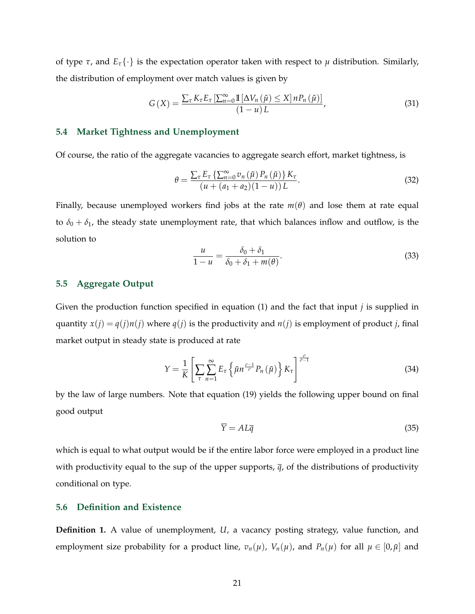of type *τ*, and  $E_{\tau}$  {  $\cdot$  } is the expectation operator taken with respect to *μ* distribution. Similarly, the distribution of employment over match values is given by

$$
G\left(X\right) = \frac{\sum_{\tau} K_{\tau} E_{\tau} \left[\sum_{n=0}^{\infty} \mathbb{I}\left[\Delta V_n\left(\tilde{\mu}\right) \leq X\right] n P_n\left(\tilde{\mu}\right)\right]}{\left(1 - u\right)L},\tag{31}
$$

#### **5.4 Market Tightness and Unemployment**

Of course, the ratio of the aggregate vacancies to aggregate search effort, market tightness, is

$$
\theta = \frac{\sum_{\tau} E_{\tau} \left\{ \sum_{n=0}^{\infty} v_n \left( \tilde{\mu} \right) P_n \left( \tilde{\mu} \right) \right\} K_{\tau}}{\left( u + \left( a_1 + a_2 \right) \left( 1 - u \right) \right) L}.
$$
\n(32)

Finally, because unemployed workers find jobs at the rate  $m(\theta)$  and lose them at rate equal to  $\delta_0 + \delta_1$ , the steady state unemployment rate, that which balances inflow and outflow, is the solution to

$$
\frac{u}{1-u} = \frac{\delta_0 + \delta_1}{\delta_0 + \delta_1 + m(\theta)}.
$$
\n(33)

#### **5.5 Aggregate Output**

Given the production function specified in equation (1) and the fact that input *j* is supplied in quantity  $x(j) = q(j)n(j)$  where  $q(j)$  is the productivity and  $n(j)$  is employment of product *j*, final market output in steady state is produced at rate

$$
Y = \frac{1}{K} \left[ \sum_{\tau} \sum_{n=1}^{\infty} E_{\tau} \left\{ \tilde{\mu} n^{\frac{\sigma - 1}{\sigma}} P_n \left( \tilde{\mu} \right) \right\} K_{\tau} \right]^{\frac{\sigma}{\sigma - 1}}
$$
(34)

by the law of large numbers. Note that equation (19) yields the following upper bound on final good output

$$
\overline{Y} = AL\overline{q} \tag{35}
$$

which is equal to what output would be if the entire labor force were employed in a product line with productivity equal to the sup of the upper supports, *q*, of the distributions of productivity conditional on type.

#### **5.6 Definition and Existence**

**Definition 1.** A value of unemployment, *U*, a vacancy posting strategy, value function, and employment size probability for a product line,  $v_n(\mu)$ ,  $V_n(\mu)$ , and  $P_n(\mu)$  for all  $\mu \in [0, \bar{\mu}]$  and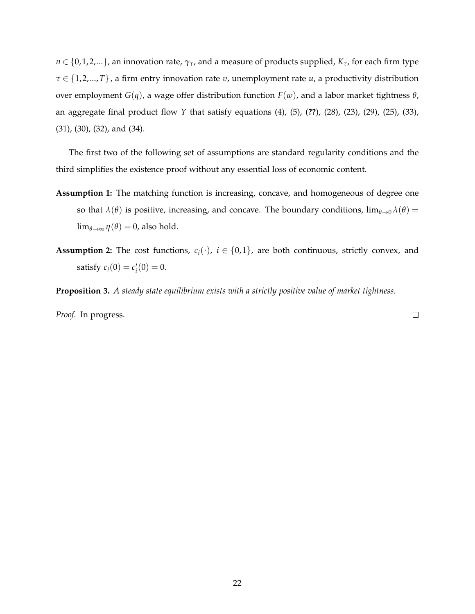$n \in \{0, 1, 2, \ldots\}$ , an innovation rate,  $\gamma_{\tau}$ , and a measure of products supplied,  $K_{\tau}$ , for each firm type *τ* ∈ {1, 2,...,*T*}, a firm entry innovation rate *υ*, unemployment rate *u*, a productivity distribution over employment *G*(*q*), a wage offer distribution function *F*(*w*), and a labor market tightness *θ*, an aggregate final product flow *Y* that satisfy equations (4), (5), (**??**), (28), (23), (29), (25), (33), (31), (30), (32), and (34).

The first two of the following set of assumptions are standard regularity conditions and the third simplifies the existence proof without any essential loss of economic content.

- **Assumption 1:** The matching function is increasing, concave, and homogeneous of degree one so that  $\lambda(\theta)$  is positive, increasing, and concave. The boundary conditions,  $\lim_{\theta\to 0}\lambda(\theta)$  =  $\lim_{\theta \to \infty} \eta(\theta) = 0$ , also hold.
- **Assumption 2:** The cost functions,  $c_i(\cdot)$ ,  $i \in \{0,1\}$ , are both continuous, strictly convex, and satisfy  $c_i(0) = c'_i(0) = 0$ .

**Proposition 3.** *A steady state equilibrium exists with a strictly positive value of market tightness.*

*Proof.* In progress.

 $\Box$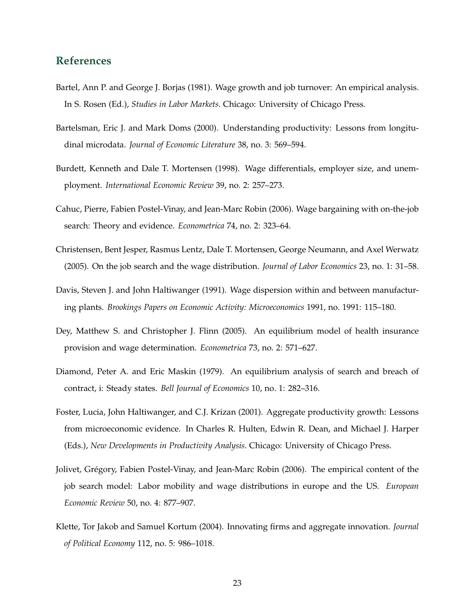## **References**

- Bartel, Ann P. and George J. Borjas (1981). Wage growth and job turnover: An empirical analysis. In S. Rosen (Ed.), *Studies in Labor Markets*. Chicago: University of Chicago Press.
- Bartelsman, Eric J. and Mark Doms (2000). Understanding productivity: Lessons from longitudinal microdata. *Journal of Economic Literature* 38, no. 3: 569–594.
- Burdett, Kenneth and Dale T. Mortensen (1998). Wage differentials, employer size, and unemployment. *International Economic Review* 39, no. 2: 257–273.
- Cahuc, Pierre, Fabien Postel-Vinay, and Jean-Marc Robin (2006). Wage bargaining with on-the-job search: Theory and evidence. *Econometrica* 74, no. 2: 323–64.
- Christensen, Bent Jesper, Rasmus Lentz, Dale T. Mortensen, George Neumann, and Axel Werwatz (2005). On the job search and the wage distribution. *Journal of Labor Economics* 23, no. 1: 31–58.
- Davis, Steven J. and John Haltiwanger (1991). Wage dispersion within and between manufacturing plants. *Brookings Papers on Economic Activity: Microeconomics* 1991, no. 1991: 115–180.
- Dey, Matthew S. and Christopher J. Flinn (2005). An equilibrium model of health insurance provision and wage determination. *Econometrica* 73, no. 2: 571–627.
- Diamond, Peter A. and Eric Maskin (1979). An equilibrium analysis of search and breach of contract, i: Steady states. *Bell Journal of Economics* 10, no. 1: 282–316.
- Foster, Lucia, John Haltiwanger, and C.J. Krizan (2001). Aggregate productivity growth: Lessons from microeconomic evidence. In Charles R. Hulten, Edwin R. Dean, and Michael J. Harper (Eds.), *New Developments in Productivity Analysis*. Chicago: University of Chicago Press.
- Jolivet, Grégory, Fabien Postel-Vinay, and Jean-Marc Robin (2006). The empirical content of the job search model: Labor mobility and wage distributions in europe and the US. *European Economic Review* 50, no. 4: 877–907.
- Klette, Tor Jakob and Samuel Kortum (2004). Innovating firms and aggregate innovation. *Journal of Political Economy* 112, no. 5: 986–1018.